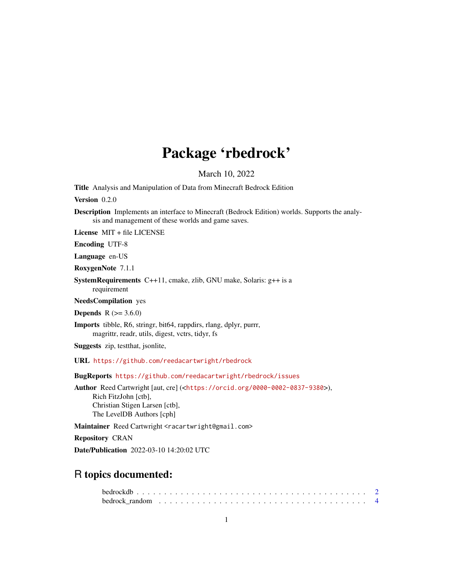# Package 'rbedrock'

March 10, 2022

Title Analysis and Manipulation of Data from Minecraft Bedrock Edition

Version 0.2.0

Description Implements an interface to Minecraft (Bedrock Edition) worlds. Supports the analysis and management of these worlds and game saves.

License MIT + file LICENSE

Encoding UTF-8

Language en-US

RoxygenNote 7.1.1

SystemRequirements C++11, cmake, zlib, GNU make, Solaris: g++ is a requirement

NeedsCompilation yes

**Depends** R  $(>= 3.6.0)$ 

Imports tibble, R6, stringr, bit64, rappdirs, rlang, dplyr, purrr, magrittr, readr, utils, digest, vctrs, tidyr, fs

Suggests zip, testthat, jsonlite,

URL <https://github.com/reedacartwright/rbedrock>

BugReports <https://github.com/reedacartwright/rbedrock/issues>

Author Reed Cartwright [aut, cre] (<<https://orcid.org/0000-0002-0837-9380>>), Rich FitzJohn [ctb], Christian Stigen Larsen [ctb], The LevelDB Authors [cph]

Maintainer Reed Cartwright <racartwright@gmail.com>

Repository CRAN

Date/Publication 2022-03-10 14:20:02 UTC

# R topics documented: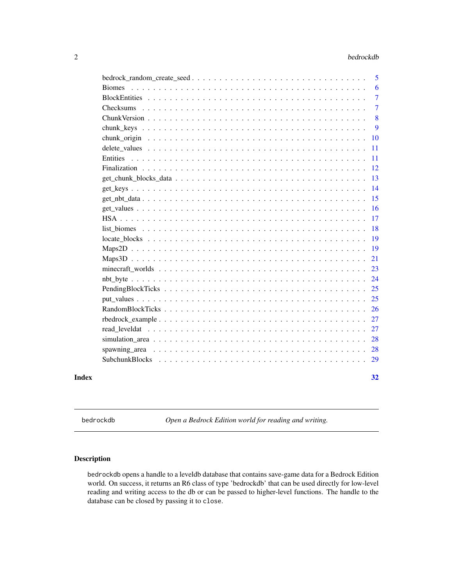#### <span id="page-1-0"></span>2 bedrockdb

|       |           | 5              |
|-------|-----------|----------------|
|       |           | 6              |
|       |           | 7              |
|       | Checksums | $\overline{7}$ |
|       |           | 8              |
|       |           | 9              |
|       |           | 10             |
|       |           | 11             |
|       |           | 11             |
|       |           | 12             |
|       |           | 13             |
|       |           | 14             |
|       |           | 15             |
|       |           | 16             |
|       |           | 17             |
|       |           | 18             |
|       |           | 19             |
|       |           | 19             |
|       |           | 21             |
|       |           | 23             |
|       |           | 24             |
|       |           | 25             |
|       |           | 25             |
|       |           | 26             |
|       |           | 27             |
|       |           | 27             |
|       |           | 28             |
|       |           | 28             |
|       |           | 29             |
| Index |           | 32             |

bedrockdb *Open a Bedrock Edition world for reading and writing.*

# Description

bedrockdb opens a handle to a leveldb database that contains save-game data for a Bedrock Edition world. On success, it returns an R6 class of type 'bedrockdb' that can be used directly for low-level reading and writing access to the db or can be passed to higher-level functions. The handle to the database can be closed by passing it to close.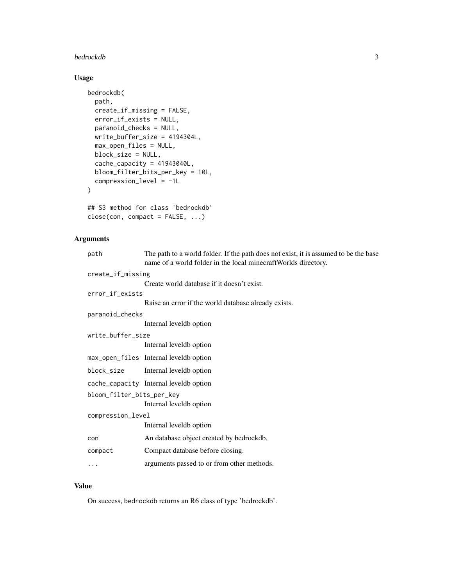#### bedrockdb 3

# Usage

```
bedrockdb(
 path,
 create_if_missing = FALSE,
 error_if_exists = NULL,
 paranoid_checks = NULL,
 write_buffer_size = 4194304L,
 max_open_files = NULL,
 block_size = NULL,
  cache_capacity = 41943040L,
 bloom_filter_bits_per_key = 10L,
 compression_level = -1L
)
## S3 method for class 'bedrockdb'
```
 $close(con, compact = FALSE, ...)$ 

# Arguments

| path                      | The path to a world folder. If the path does not exist, it is assumed to be the base<br>name of a world folder in the local minecraft Worlds directory. |  |  |  |  |  |  |
|---------------------------|---------------------------------------------------------------------------------------------------------------------------------------------------------|--|--|--|--|--|--|
| create_if_missing         |                                                                                                                                                         |  |  |  |  |  |  |
|                           | Create world database if it doesn't exist.                                                                                                              |  |  |  |  |  |  |
| error_if_exists           |                                                                                                                                                         |  |  |  |  |  |  |
|                           | Raise an error if the world database already exists.                                                                                                    |  |  |  |  |  |  |
| paranoid_checks           |                                                                                                                                                         |  |  |  |  |  |  |
|                           | Internal leveldb option                                                                                                                                 |  |  |  |  |  |  |
| write_buffer_size         |                                                                                                                                                         |  |  |  |  |  |  |
|                           | Internal leveldb option                                                                                                                                 |  |  |  |  |  |  |
|                           | max_open_files Internal leveldb option                                                                                                                  |  |  |  |  |  |  |
| block_size                | Internal leveldb option                                                                                                                                 |  |  |  |  |  |  |
|                           | cache_capacity Internal leveldb option                                                                                                                  |  |  |  |  |  |  |
| bloom_filter_bits_per_key |                                                                                                                                                         |  |  |  |  |  |  |
|                           | Internal leveldb option                                                                                                                                 |  |  |  |  |  |  |
| compression_level         |                                                                                                                                                         |  |  |  |  |  |  |
|                           | Internal leveldb option                                                                                                                                 |  |  |  |  |  |  |
| con                       | An database object created by bedrockdb.                                                                                                                |  |  |  |  |  |  |
| compact                   | Compact database before closing.                                                                                                                        |  |  |  |  |  |  |
|                           | arguments passed to or from other methods.                                                                                                              |  |  |  |  |  |  |
|                           |                                                                                                                                                         |  |  |  |  |  |  |

# Value

On success, bedrockdb returns an R6 class of type 'bedrockdb'.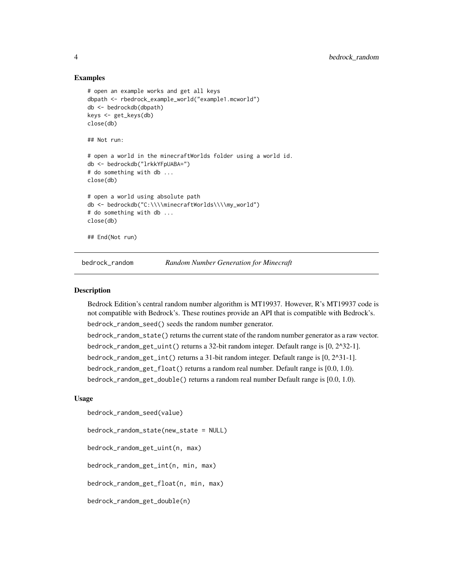#### Examples

```
# open an example works and get all keys
dbpath <- rbedrock_example_world("example1.mcworld")
db <- bedrockdb(dbpath)
keys <- get_keys(db)
close(db)
## Not run:
# open a world in the minecraftWorlds folder using a world id.
db <- bedrockdb("lrkkYFpUABA=")
# do something with db ...
close(db)
# open a world using absolute path
db <- bedrockdb("C:\\\\minecraftWorlds\\\\my_world")
# do something with db ...
close(db)
## End(Not run)
```
bedrock\_random *Random Number Generation for Minecraft*

#### **Description**

Bedrock Edition's central random number algorithm is MT19937. However, R's MT19937 code is not compatible with Bedrock's. These routines provide an API that is compatible with Bedrock's. bedrock\_random\_seed() seeds the random number generator. bedrock\_random\_state() returns the current state of the random number generator as a raw vector. bedrock\_random\_get\_uint() returns a 32-bit random integer. Default range is [0, 2^32-1]. bedrock\_random\_get\_int() returns a 31-bit random integer. Default range is [0, 2^31-1]. bedrock\_random\_get\_float() returns a random real number. Default range is [0.0, 1.0). bedrock\_random\_get\_double() returns a random real number Default range is [0.0, 1.0).

#### Usage

```
bedrock_random_seed(value)
```
bedrock\_random\_state(new\_state = NULL)

bedrock\_random\_get\_uint(n, max)

bedrock\_random\_get\_int(n, min, max)

bedrock\_random\_get\_float(n, min, max)

bedrock\_random\_get\_double(n)

<span id="page-3-0"></span>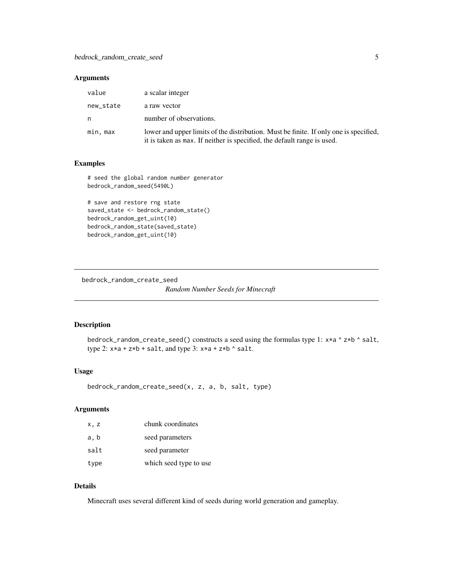# <span id="page-4-0"></span>Arguments

| value     | a scalar integer                                                                                                                                                 |
|-----------|------------------------------------------------------------------------------------------------------------------------------------------------------------------|
| new_state | a raw vector                                                                                                                                                     |
| n         | number of observations.                                                                                                                                          |
| min, max  | lower and upper limits of the distribution. Must be finite. If only one is specified,<br>it is taken as max. If neither is specified, the default range is used. |

# Examples

# seed the global random number generator bedrock\_random\_seed(5490L)

```
# save and restore rng state
saved_state <- bedrock_random_state()
bedrock_random_get_uint(10)
bedrock_random_state(saved_state)
bedrock_random_get_uint(10)
```
bedrock\_random\_create\_seed

*Random Number Seeds for Minecraft*

#### Description

bedrock\_random\_create\_seed() constructs a seed using the formulas type 1: x\*a ^ z\*b ^ salt, type 2:  $x*a + z*b + salt$ , and type 3:  $x*a + z*b$   $'s alt$ .

#### Usage

```
bedrock_random_create_seed(x, z, a, b, salt, type)
```
# Arguments

| x.z  | chunk coordinates      |
|------|------------------------|
| a, b | seed parameters        |
| salt | seed parameter         |
| type | which seed type to use |

#### Details

Minecraft uses several different kind of seeds during world generation and gameplay.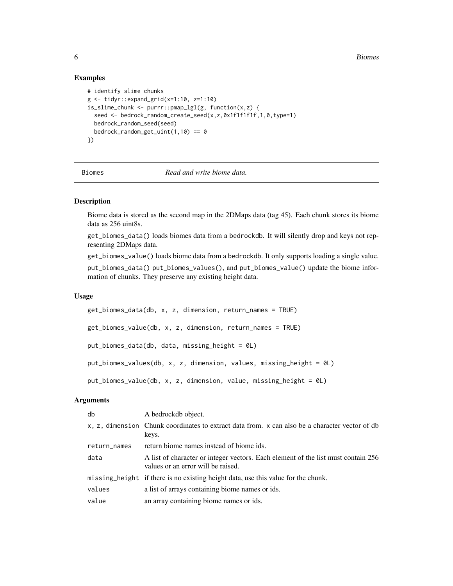#### Examples

```
# identify slime chunks
g <- tidyr::expand_grid(x=1:10, z=1:10)
is_slime_chunk <- purrr::pmap_lgl(g, function(x,z) {
  seed <- bedrock_random_create_seed(x,z,0x1f1f1f1f,1,0,type=1)
  bedrock_random_seed(seed)
  bedrock_random_get_uint(1,10) == 0})
```
Biomes *Read and write biome data.*

# Description

Biome data is stored as the second map in the 2DMaps data (tag 45). Each chunk stores its biome data as 256 uint8s.

get\_biomes\_data() loads biomes data from a bedrockdb. It will silently drop and keys not representing 2DMaps data.

get\_biomes\_value() loads biome data from a bedrockdb. It only supports loading a single value. put\_biomes\_data() put\_biomes\_values(), and put\_biomes\_value() update the biome information of chunks. They preserve any existing height data.

# Usage

```
get_biomes_data(db, x, z, dimension, return_names = TRUE)
get_biomes_value(db, x, z, dimension, return_names = TRUE)
put_biomes_data(db, data, missing_height = 0L)
put_biomes_values(db, x, z, dimension, values, missing_height = 0L)
put_biomes_value(db, x, z, dimension, value, missing_height = 0L)
```
#### Arguments

| db           | A bedrockdb object.                                                                                                     |
|--------------|-------------------------------------------------------------------------------------------------------------------------|
|              | x, z, dimension Chunk coordinates to extract data from. x can also be a character vector of db<br>keys.                 |
| return_names | return biome names instead of biome ids.                                                                                |
| data         | A list of character or integer vectors. Each element of the list must contain 256<br>values or an error will be raised. |
|              | missing height if there is no existing height data, use this value for the chunk.                                       |
| values       | a list of arrays containing biome names or ids.                                                                         |
| value        | an array containing biome names or ids.                                                                                 |
|              |                                                                                                                         |

<span id="page-5-0"></span>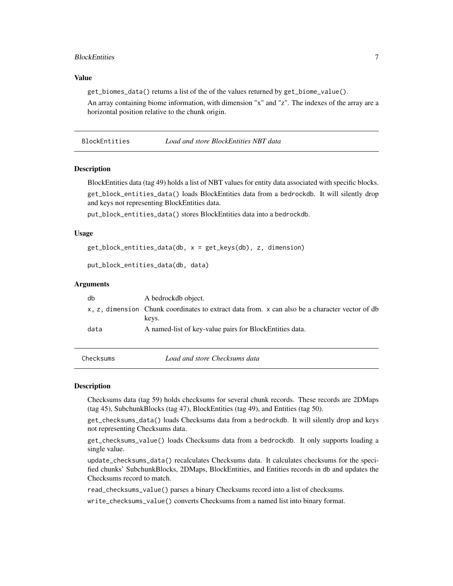# <span id="page-6-0"></span>BlockEntities 7

#### Value

get\_biomes\_data() returns a list of the of the values returned by get\_biome\_value().

An array containing biome information, with dimension "x" and "z". The indexes of the array are a horizontal position relative to the chunk origin.

BlockEntities *Load and store BlockEntities NBT data*

#### **Description**

BlockEntities data (tag 49) holds a list of NBT values for entity data associated with specific blocks.

get\_block\_entities\_data() loads BlockEntities data from a bedrockdb. It will silently drop and keys not representing BlockEntities data.

put\_block\_entities\_data() stores BlockEntities data into a bedrockdb.

#### Usage

```
get_block_entities_data(db, x = get_keys(db), z, dimension)
```

```
put_block_entities_data(db, data)
```
#### Arguments

| db   | A bedrockdb object.                                                                                     |
|------|---------------------------------------------------------------------------------------------------------|
|      | x, z, dimension Chunk coordinates to extract data from. x can also be a character vector of db<br>keys. |
| data | A named-list of key-value pairs for BlockEntities data.                                                 |

Checksums *Load and store Checksums data*

#### Description

Checksums data (tag 59) holds checksums for several chunk records. These records are 2DMaps (tag 45), SubchunkBlocks (tag 47), BlockEntities (tag 49), and Entities (tag 50).

get\_checksums\_data() loads Checksums data from a bedrockdb. It will silently drop and keys not representing Checksums data.

get\_checksums\_value() loads Checksums data from a bedrockdb. It only supports loading a single value.

update\_checksums\_data() recalculates Checksums data. It calculates checksums for the specified chunks' SubchunkBlocks, 2DMaps, BlockEntities, and Entities records in db and updates the Checksums record to match.

read\_checksums\_value() parses a binary Checksums record into a list of checksums.

write\_checksums\_value() converts Checksums from a named list into binary format.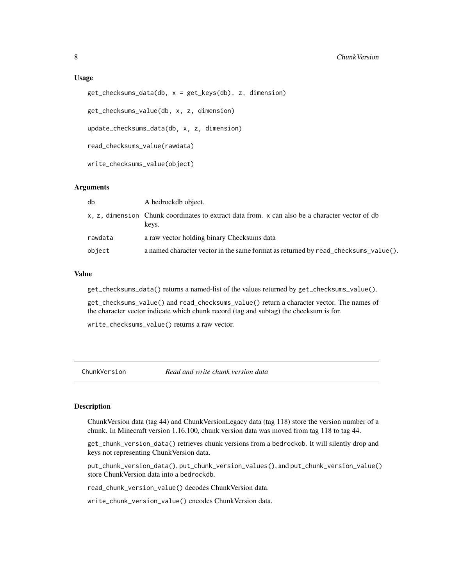```
get_checksums_data(db, x = get_keys(db), z, dimension)
```
get\_checksums\_value(db, x, z, dimension)

update\_checksums\_data(db, x, z, dimension)

read\_checksums\_value(rawdata)

write\_checksums\_value(object)

#### Arguments

| db      | A bedrockdb object.                                                                                     |
|---------|---------------------------------------------------------------------------------------------------------|
|         | x, z, dimension Chunk coordinates to extract data from. x can also be a character vector of db<br>keys. |
| rawdata | a raw vector holding binary Checksums data                                                              |
| object  | a named character vector in the same format as returned by read_checksums_value().                      |

# Value

get\_checksums\_data() returns a named-list of the values returned by get\_checksums\_value().

get\_checksums\_value() and read\_checksums\_value() return a character vector. The names of the character vector indicate which chunk record (tag and subtag) the checksum is for.

write\_checksums\_value() returns a raw vector.

ChunkVersion *Read and write chunk version data*

# Description

ChunkVersion data (tag 44) and ChunkVersionLegacy data (tag 118) store the version number of a chunk. In Minecraft version 1.16.100, chunk version data was moved from tag 118 to tag 44.

get\_chunk\_version\_data() retrieves chunk versions from a bedrockdb. It will silently drop and keys not representing ChunkVersion data.

put\_chunk\_version\_data(), put\_chunk\_version\_values(), and put\_chunk\_version\_value() store ChunkVersion data into a bedrockdb.

read\_chunk\_version\_value() decodes ChunkVersion data.

write\_chunk\_version\_value() encodes ChunkVersion data.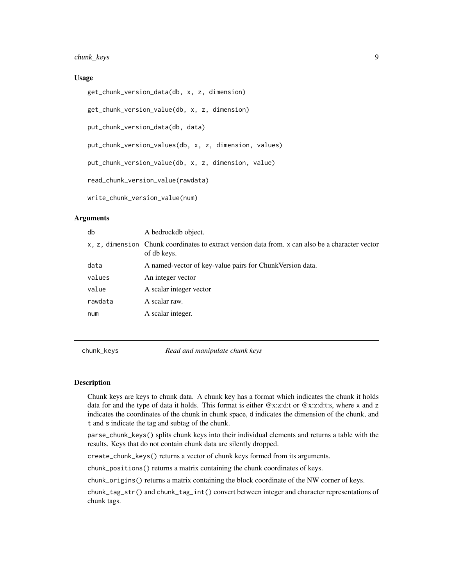<span id="page-8-0"></span>chunk\_keys 9

#### Usage

get\_chunk\_version\_data(db, x, z, dimension)

get\_chunk\_version\_value(db, x, z, dimension)

put\_chunk\_version\_data(db, data)

put\_chunk\_version\_values(db, x, z, dimension, values)

put\_chunk\_version\_value(db, x, z, dimension, value)

read\_chunk\_version\_value(rawdata)

write\_chunk\_version\_value(num)

## Arguments

| db      | A bedrockdb object.                                                                                             |
|---------|-----------------------------------------------------------------------------------------------------------------|
|         | x, z, dimension Chunk coordinates to extract version data from. x can also be a character vector<br>of db keys. |
| data    | A named-vector of key-value pairs for Chunk Version data.                                                       |
| values  | An integer vector                                                                                               |
| value   | A scalar integer vector                                                                                         |
| rawdata | A scalar raw.                                                                                                   |
| num     | A scalar integer.                                                                                               |
|         |                                                                                                                 |

chunk\_keys *Read and manipulate chunk keys*

#### **Description**

Chunk keys are keys to chunk data. A chunk key has a format which indicates the chunk it holds data for and the type of data it holds. This format is either @x:z:d:t or @x:z:d:t:s, where x and z indicates the coordinates of the chunk in chunk space, d indicates the dimension of the chunk, and t and s indicate the tag and subtag of the chunk.

parse\_chunk\_keys() splits chunk keys into their individual elements and returns a table with the results. Keys that do not contain chunk data are silently dropped.

create\_chunk\_keys() returns a vector of chunk keys formed from its arguments.

chunk\_positions() returns a matrix containing the chunk coordinates of keys.

chunk\_origins() returns a matrix containing the block coordinate of the NW corner of keys.

chunk\_tag\_str() and chunk\_tag\_int() convert between integer and character representations of chunk tags.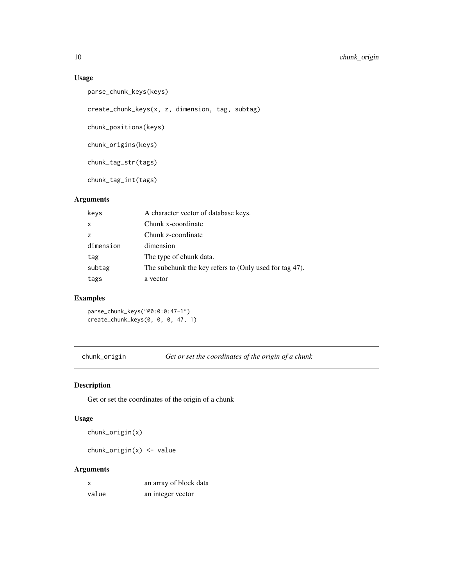# Usage

```
parse_chunk_keys(keys)
```
create\_chunk\_keys(x, z, dimension, tag, subtag)

chunk\_positions(keys)

chunk\_origins(keys)

chunk\_tag\_str(tags)

chunk\_tag\_int(tags)

# Arguments

| keys         | A character vector of database keys.                   |
|--------------|--------------------------------------------------------|
| $\mathsf{x}$ | Chunk x-coordinate                                     |
| z            | Chunk z-coordinate                                     |
| dimension    | dimension                                              |
| tag          | The type of chunk data.                                |
| subtag       | The subchunk the key refers to (Only used for tag 47). |
| tags         | a vector                                               |

# Examples

parse\_chunk\_keys("@0:0:0:47-1") create\_chunk\_keys(0, 0, 0, 47, 1)

chunk\_origin *Get or set the coordinates of the origin of a chunk*

# Description

Get or set the coordinates of the origin of a chunk

# Usage

```
chunk_origin(x)
```
chunk\_origin(x) <- value

# Arguments

| x     | an array of block data |
|-------|------------------------|
| value | an integer vector      |

<span id="page-9-0"></span>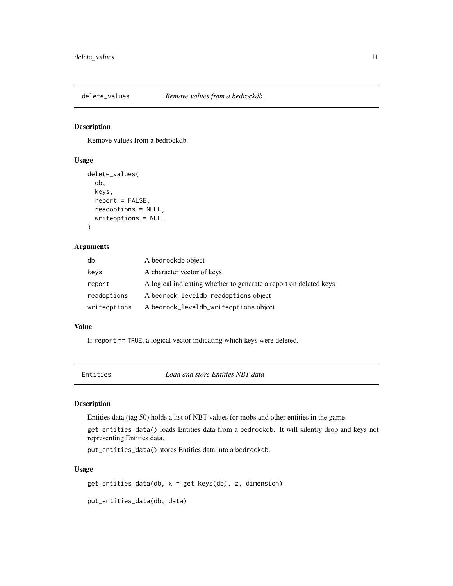<span id="page-10-0"></span>

# Description

Remove values from a bedrockdb.

#### Usage

```
delete_values(
  db,
 keys,
  report = FALSE,readoptions = NULL,
 writeoptions = NULL
)
```
#### Arguments

| db           | A bedrockdb object                                                |
|--------------|-------------------------------------------------------------------|
| keys         | A character vector of keys.                                       |
| report       | A logical indicating whether to generate a report on deleted keys |
| readoptions  | A bedrock_leveldb_readoptions object                              |
| writeoptions | A bedrock_leveldb_writeoptions object                             |

# Value

If report == TRUE, a logical vector indicating which keys were deleted.

Entities *Load and store Entities NBT data*

#### Description

Entities data (tag 50) holds a list of NBT values for mobs and other entities in the game.

get\_entities\_data() loads Entities data from a bedrockdb. It will silently drop and keys not representing Entities data.

put\_entities\_data() stores Entities data into a bedrockdb.

#### Usage

get\_entities\_data(db, x = get\_keys(db), z, dimension)

put\_entities\_data(db, data)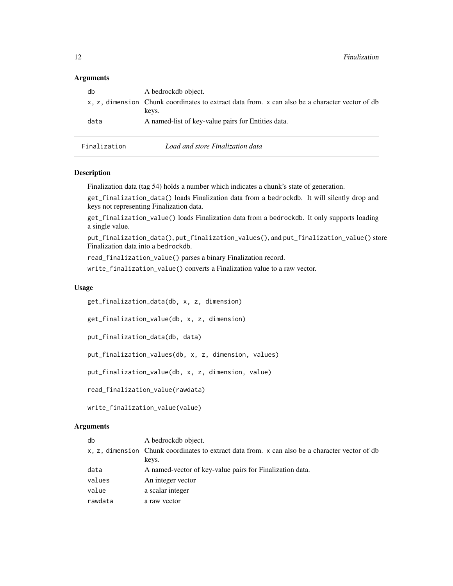#### <span id="page-11-0"></span>**Arguments**

| db           | A bedrockdb object.                                                                            |
|--------------|------------------------------------------------------------------------------------------------|
|              | x, z, dimension Chunk coordinates to extract data from. x can also be a character vector of db |
|              | keys.                                                                                          |
| data         | A named-list of key-value pairs for Entities data.                                             |
|              |                                                                                                |
| Finalization | Load and store Finalization data                                                               |

#### Description

Finalization data (tag 54) holds a number which indicates a chunk's state of generation.

get\_finalization\_data() loads Finalization data from a bedrockdb. It will silently drop and keys not representing Finalization data.

get\_finalization\_value() loads Finalization data from a bedrockdb. It only supports loading a single value.

put\_finalization\_data(), put\_finalization\_values(), and put\_finalization\_value() store Finalization data into a bedrockdb.

read\_finalization\_value() parses a binary Finalization record.

write\_finalization\_value() converts a Finalization value to a raw vector.

#### Usage

get\_finalization\_data(db, x, z, dimension)

get\_finalization\_value(db, x, z, dimension)

put\_finalization\_data(db, data)

put\_finalization\_values(db, x, z, dimension, values)

put\_finalization\_value(db, x, z, dimension, value)

read\_finalization\_value(rawdata)

write\_finalization\_value(value)

# Arguments

| db      | A bedrockdb object.                                                                            |
|---------|------------------------------------------------------------------------------------------------|
|         | x, z, dimension Chunk coordinates to extract data from. x can also be a character vector of db |
|         | keys.                                                                                          |
| data    | A named-vector of key-value pairs for Finalization data.                                       |
| values  | An integer vector                                                                              |
| value   | a scalar integer                                                                               |
| rawdata | a raw vector                                                                                   |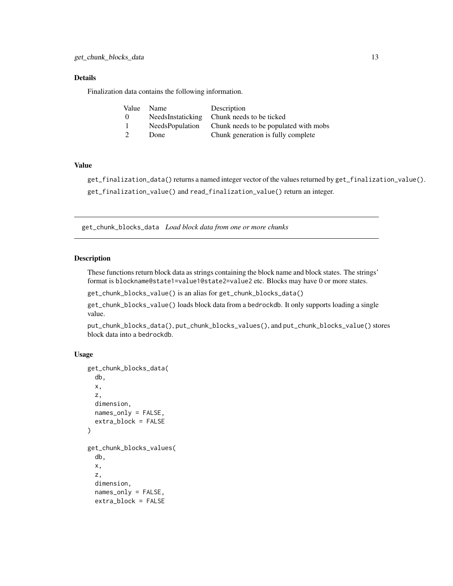# <span id="page-12-0"></span>Details

Finalization data contains the following information.

| Value | Name                   | Description                           |
|-------|------------------------|---------------------------------------|
| - 0   | NeedsInstaticking      | Chunk needs to be ticked              |
|       | <b>NeedsPopulation</b> | Chunk needs to be populated with mobs |
|       | Done                   | Chunk generation is fully complete    |

#### Value

get\_finalization\_data() returns a named integer vector of the values returned by get\_finalization\_value(). get\_finalization\_value() and read\_finalization\_value() return an integer.

get\_chunk\_blocks\_data *Load block data from one or more chunks*

# Description

These functions return block data as strings containing the block name and block states. The strings' format is blockname@state1=value1@state2=value2 etc. Blocks may have 0 or more states.

get\_chunk\_blocks\_value() is an alias for get\_chunk\_blocks\_data()

get\_chunk\_blocks\_value() loads block data from a bedrockdb. It only supports loading a single value.

put\_chunk\_blocks\_data(), put\_chunk\_blocks\_values(), and put\_chunk\_blocks\_value() stores block data into a bedrockdb.

# Usage

```
get_chunk_blocks_data(
  db,
  x,
 z,
  dimension,
 names_only = FALSE,
  extra_block = FALSE
)
get_chunk_blocks_values(
  db,
  x,
  z,
  dimension,
  names_only = FALSE,
  extra_block = FALSE
```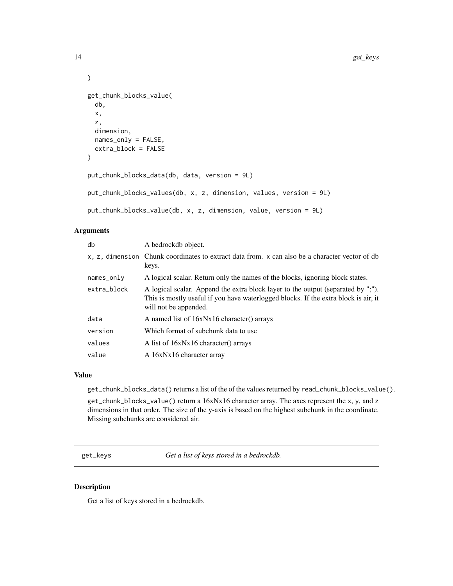```
get_chunk_blocks_value(
  db,
  x,
 z,
  dimension,
 names_only = FALSE,
  extra_block = FALSE
)
put_chunk_blocks_data(db, data, version = 9L)
put_chunk_blocks_values(db, x, z, dimension, values, version = 9L)
```

```
put_chunk_blocks_value(db, x, z, dimension, value, version = 9L)
```
# Arguments

| db            | A bedrockdb object.                                                                                                                                                                              |
|---------------|--------------------------------------------------------------------------------------------------------------------------------------------------------------------------------------------------|
|               | x, z, dimension Chunk coordinates to extract data from. x can also be a character vector of db<br>keys.                                                                                          |
| $names\_only$ | A logical scalar. Return only the names of the blocks, ignoring block states.                                                                                                                    |
| extra block   | A logical scalar. Append the extra block layer to the output (separated by ";").<br>This is mostly useful if you have waterlogged blocks. If the extra block is air, it<br>will not be appended. |
| data          | A named list of 16xNx16 character() arrays                                                                                                                                                       |
| version       | Which format of subchunk data to use                                                                                                                                                             |
| values        | A list of 16xNx16 character() arrays                                                                                                                                                             |
| value         | A 16xNx16 character array                                                                                                                                                                        |

# Value

get\_chunk\_blocks\_data() returns a list of the of the values returned by read\_chunk\_blocks\_value().

get\_chunk\_blocks\_value() return a 16xNx16 character array. The axes represent the x, y, and z dimensions in that order. The size of the y-axis is based on the highest subchunk in the coordinate. Missing subchunks are considered air.

get\_keys *Get a list of keys stored in a bedrockdb.*

# Description

Get a list of keys stored in a bedrockdb.

<span id="page-13-0"></span>

 $\mathcal{L}$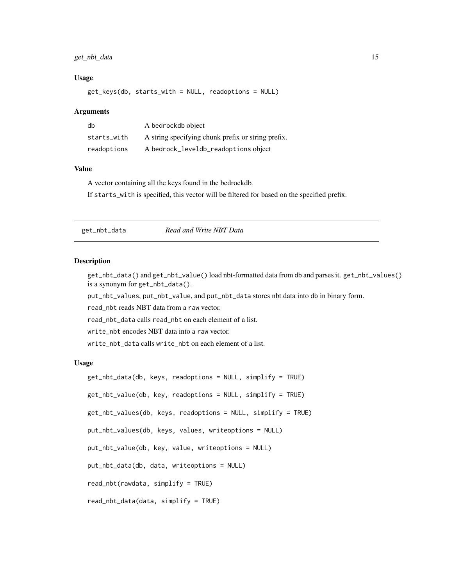# <span id="page-14-0"></span>get\_nbt\_data 15

#### Usage

get\_keys(db, starts\_with = NULL, readoptions = NULL)

#### Arguments

| db          | A bedrockdb object                                 |
|-------------|----------------------------------------------------|
| starts with | A string specifying chunk prefix or string prefix. |
| readoptions | A bedrock_leveldb_readoptions object               |

#### Value

A vector containing all the keys found in the bedrockdb.

If starts\_with is specified, this vector will be filtered for based on the specified prefix.

get\_nbt\_data *Read and Write NBT Data*

# **Description**

get\_nbt\_data() and get\_nbt\_value() load nbt-formatted data from db and parses it. get\_nbt\_values() is a synonym for get\_nbt\_data().

put\_nbt\_values, put\_nbt\_value, and put\_nbt\_data stores nbt data into db in binary form.

read\_nbt reads NBT data from a raw vector.

read\_nbt\_data calls read\_nbt on each element of a list.

write\_nbt encodes NBT data into a raw vector.

write\_nbt\_data calls write\_nbt on each element of a list.

#### Usage

```
get_nbt_data(db, keys, readoptions = NULL, simplify = TRUE)
get_nbt_value(db, key, readoptions = NULL, simplify = TRUE)
get_nbt_values(db, keys, readoptions = NULL, simplify = TRUE)
put_nbt_values(db, keys, values, writeoptions = NULL)
put_nbt_value(db, key, value, writeoptions = NULL)
put_nbt_data(db, data, writeoptions = NULL)
read_nbt(rawdata, simplify = TRUE)
read_nbt_data(data, simplify = TRUE)
```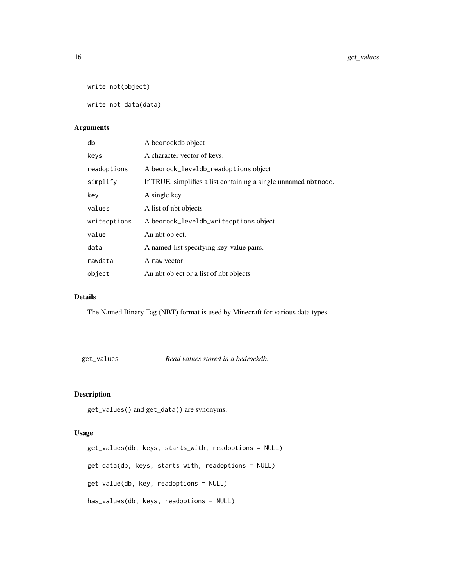```
write_nbt(object)
```
write\_nbt\_data(data)

# Arguments

| db           | A bedrockdb object                                              |
|--------------|-----------------------------------------------------------------|
| keys         | A character vector of keys.                                     |
| readoptions  | A bedrock_leveldb_readoptions object                            |
| simplify     | If TRUE, simplifies a list containing a single unnamed nbtnode. |
| key          | A single key.                                                   |
| values       | A list of nbt objects                                           |
| writeoptions | A bedrock_leveldb_writeoptions object                           |
| value        | An nbt object.                                                  |
| data         | A named-list specifying key-value pairs.                        |
| rawdata      | A raw vector                                                    |
| object       | An not object or a list of not objects                          |

# Details

The Named Binary Tag (NBT) format is used by Minecraft for various data types.

get\_values *Read values stored in a bedrockdb.*

# Description

get\_values() and get\_data() are synonyms.

# Usage

```
get_values(db, keys, starts_with, readoptions = NULL)
get_data(db, keys, starts_with, readoptions = NULL)
get_value(db, key, readoptions = NULL)
has_values(db, keys, readoptions = NULL)
```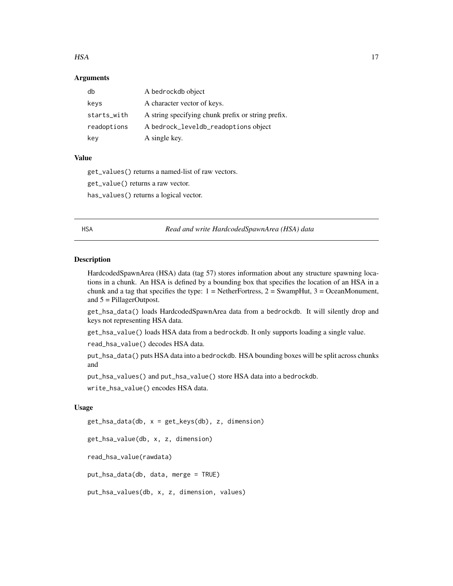#### <span id="page-16-0"></span> $HSA$  and the set of the set of the set of the set of the set of the set of the set of the set of the set of the set of the set of the set of the set of the set of the set of the set of the set of the set of the set of the

#### **Arguments**

| db          | A bedrockdb object                                 |
|-------------|----------------------------------------------------|
| keys        | A character vector of keys.                        |
| starts_with | A string specifying chunk prefix or string prefix. |
| readoptions | A bedrock_leveldb_readoptions object               |
| key         | A single key.                                      |

#### Value

get\_values() returns a named-list of raw vectors. get\_value() returns a raw vector.

has\_values() returns a logical vector.

HSA *Read and write HardcodedSpawnArea (HSA) data*

#### Description

HardcodedSpawnArea (HSA) data (tag 57) stores information about any structure spawning locations in a chunk. An HSA is defined by a bounding box that specifies the location of an HSA in a chunk and a tag that specifies the type:  $1 = \text{NetherFor}$ tress,  $2 = \text{Swampling}, 3 = \text{OceanMonument}$ , and 5 = PillagerOutpost.

get\_hsa\_data() loads HardcodedSpawnArea data from a bedrockdb. It will silently drop and keys not representing HSA data.

get\_hsa\_value() loads HSA data from a bedrockdb. It only supports loading a single value.

read\_hsa\_value() decodes HSA data.

put\_hsa\_data() puts HSA data into a bedrockdb. HSA bounding boxes will be split across chunks and

put\_hsa\_values() and put\_hsa\_value() store HSA data into a bedrockdb.

write\_hsa\_value() encodes HSA data.

# Usage

get\_hsa\_data(db, x = get\_keys(db), z, dimension)

get\_hsa\_value(db, x, z, dimension)

read\_hsa\_value(rawdata)

put\_hsa\_data(db, data, merge = TRUE)

put\_hsa\_values(db, x, z, dimension, values)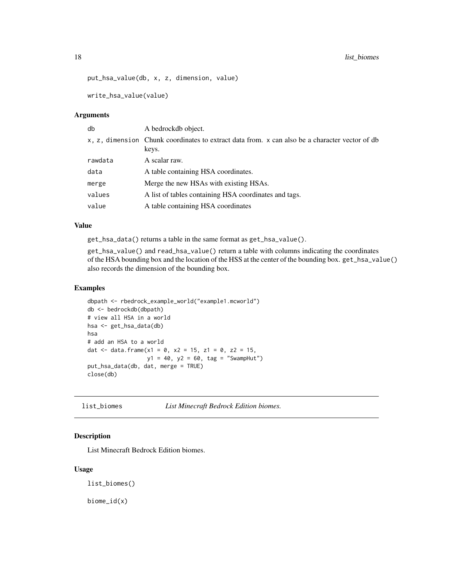<span id="page-17-0"></span>put\_hsa\_value(db, x, z, dimension, value)

write\_hsa\_value(value)

#### Arguments

| db      | A bedrockdb object.                                                                                     |
|---------|---------------------------------------------------------------------------------------------------------|
|         | x, z, dimension Chunk coordinates to extract data from. x can also be a character vector of db<br>keys. |
| rawdata | A scalar raw.                                                                                           |
| data    | A table containing HSA coordinates.                                                                     |
| merge   | Merge the new HSAs with existing HSAs.                                                                  |
| values  | A list of tables containing HSA coordinates and tags.                                                   |
| value   | A table containing HSA coordinates                                                                      |

# Value

get\_hsa\_data() returns a table in the same format as get\_hsa\_value().

get\_hsa\_value() and read\_hsa\_value() return a table with columns indicating the coordinates of the HSA bounding box and the location of the HSS at the center of the bounding box. get\_hsa\_value() also records the dimension of the bounding box.

# Examples

```
dbpath <- rbedrock_example_world("example1.mcworld")
db <- bedrockdb(dbpath)
# view all HSA in a world
hsa <- get_hsa_data(db)
hsa
# add an HSA to a world
dat <- data.frame(x1 = 0, x2 = 15, z1 = 0, z2 = 15,
                  y1 = 40, y2 = 60, tag = "Swampling"put_hsa_data(db, dat, merge = TRUE)
close(db)
```
list\_biomes *List Minecraft Bedrock Edition biomes.*

# Description

List Minecraft Bedrock Edition biomes.

#### Usage

list\_biomes()

biome\_id(x)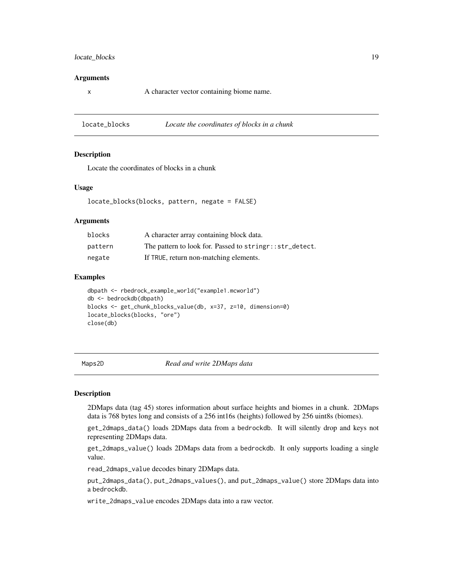# <span id="page-18-0"></span>locate\_blocks 19

#### Arguments

x A character vector containing biome name.

locate\_blocks *Locate the coordinates of blocks in a chunk*

#### **Description**

Locate the coordinates of blocks in a chunk

#### Usage

locate\_blocks(blocks, pattern, negate = FALSE)

#### Arguments

| blocks  | A character array containing block data.                  |
|---------|-----------------------------------------------------------|
| pattern | The pattern to look for. Passed to string r:: str_detect. |
| negate  | If TRUE, return non-matching elements.                    |

#### Examples

```
dbpath <- rbedrock_example_world("example1.mcworld")
db <- bedrockdb(dbpath)
blocks <- get_chunk_blocks_value(db, x=37, z=10, dimension=0)
locate_blocks(blocks, "ore")
close(db)
```
Maps2D *Read and write 2DMaps data*

#### Description

2DMaps data (tag 45) stores information about surface heights and biomes in a chunk. 2DMaps data is 768 bytes long and consists of a 256 int16s (heights) followed by 256 uint8s (biomes).

get\_2dmaps\_data() loads 2DMaps data from a bedrockdb. It will silently drop and keys not representing 2DMaps data.

get\_2dmaps\_value() loads 2DMaps data from a bedrockdb. It only supports loading a single value.

read\_2dmaps\_value decodes binary 2DMaps data.

put\_2dmaps\_data(), put\_2dmaps\_values(), and put\_2dmaps\_value() store 2DMaps data into a bedrockdb.

write\_2dmaps\_value encodes 2DMaps data into a raw vector.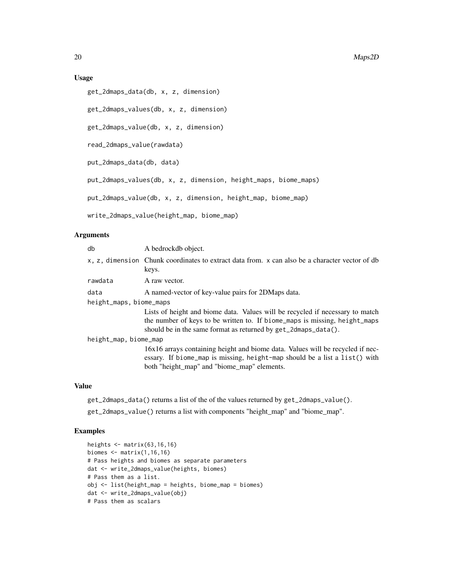# Usage

```
get_2dmaps_data(db, x, z, dimension)
```

```
get_2dmaps_values(db, x, z, dimension)
```

```
get_2dmaps_value(db, x, z, dimension)
```
read\_2dmaps\_value(rawdata)

```
put_2dmaps_data(db, data)
```
put\_2dmaps\_values(db, x, z, dimension, height\_maps, biome\_maps)

put\_2dmaps\_value(db, x, z, dimension, height\_map, biome\_map)

write\_2dmaps\_value(height\_map, biome\_map)

#### Arguments

| db                      | A bedrockdb object.                                                                                                                                                                                                           |
|-------------------------|-------------------------------------------------------------------------------------------------------------------------------------------------------------------------------------------------------------------------------|
|                         | x, z, dimension Chunk coordinates to extract data from. x can also be a character vector of db<br>keys.                                                                                                                       |
| rawdata                 | A raw vector.                                                                                                                                                                                                                 |
| data                    | A named-vector of key-value pairs for 2DMaps data.                                                                                                                                                                            |
| height_maps, biome_maps |                                                                                                                                                                                                                               |
|                         | Lists of height and biome data. Values will be recycled if necessary to match<br>the number of keys to be written to. If biome_maps is missing, height_maps<br>should be in the same format as returned by get_2dmaps_data(). |
| height_map, biome_map   |                                                                                                                                                                                                                               |
|                         | 16x16 arrays containing height and biome data. Values will be recycled if nec-<br>essary. If biome_map is missing, height-map should be a list a list() with<br>both "height_map" and "biome_map" elements.                   |

# Value

get\_2dmaps\_data() returns a list of the of the values returned by get\_2dmaps\_value().

get\_2dmaps\_value() returns a list with components "height\_map" and "biome\_map".

#### Examples

```
heights <- matrix(63,16,16)
biomes \leq matrix(1,16,16)
# Pass heights and biomes as separate parameters
dat <- write_2dmaps_value(heights, biomes)
# Pass them as a list.
obj <- list(height_map = heights, biome_map = biomes)
dat <- write_2dmaps_value(obj)
# Pass them as scalars
```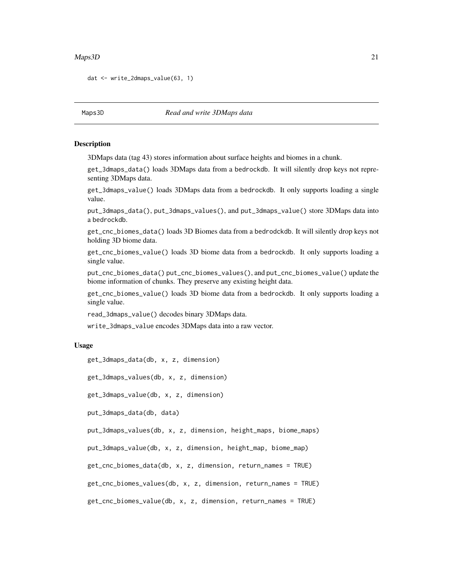#### <span id="page-20-0"></span> $Maps3D$  21

```
dat <- write_2dmaps_value(63, 1)
```
Maps3D *Read and write 3DMaps data*

#### Description

3DMaps data (tag 43) stores information about surface heights and biomes in a chunk.

get\_3dmaps\_data() loads 3DMaps data from a bedrockdb. It will silently drop keys not representing 3DMaps data.

get\_3dmaps\_value() loads 3DMaps data from a bedrockdb. It only supports loading a single value.

put\_3dmaps\_data(), put\_3dmaps\_values(), and put\_3dmaps\_value() store 3DMaps data into a bedrockdb.

get\_cnc\_biomes\_data() loads 3D Biomes data from a bedrodckdb. It will silently drop keys not holding 3D biome data.

get\_cnc\_biomes\_value() loads 3D biome data from a bedrockdb. It only supports loading a single value.

put\_cnc\_biomes\_data() put\_cnc\_biomes\_values(), and put\_cnc\_biomes\_value() update the biome information of chunks. They preserve any existing height data.

get\_cnc\_biomes\_value() loads 3D biome data from a bedrockdb. It only supports loading a single value.

read\_3dmaps\_value() decodes binary 3DMaps data.

write\_3dmaps\_value encodes 3DMaps data into a raw vector.

#### Usage

get\_3dmaps\_data(db, x, z, dimension)

get\_3dmaps\_values(db, x, z, dimension)

get\_3dmaps\_value(db, x, z, dimension)

put\_3dmaps\_data(db, data)

put\_3dmaps\_values(db, x, z, dimension, height\_maps, biome\_maps)

put\_3dmaps\_value(db, x, z, dimension, height\_map, biome\_map)

get\_cnc\_biomes\_data(db, x, z, dimension, return\_names = TRUE)

get\_cnc\_biomes\_values(db, x, z, dimension, return\_names = TRUE)

get\_cnc\_biomes\_value(db, x, z, dimension, return\_names = TRUE)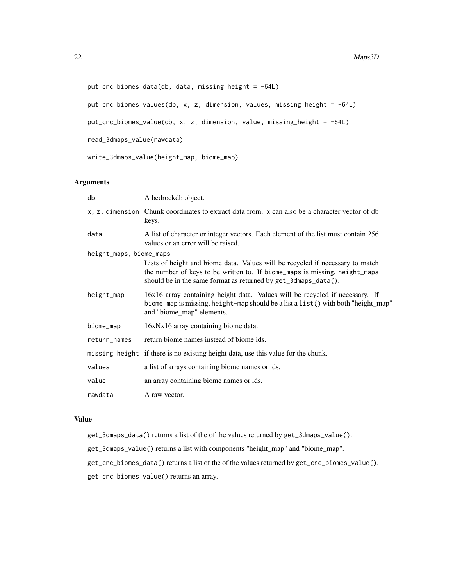```
put_cnc_biomes_data(db, data, missing_height = -64L)
```
put\_cnc\_biomes\_values(db, x, z, dimension, values, missing\_height = -64L)

put\_cnc\_biomes\_value(db, x, z, dimension, value, missing\_height = -64L)

read\_3dmaps\_value(rawdata)

write\_3dmaps\_value(height\_map, biome\_map)

# Arguments

| db                      | A bedrockdb object.                                                                                                                                                                                                           |
|-------------------------|-------------------------------------------------------------------------------------------------------------------------------------------------------------------------------------------------------------------------------|
|                         | x, z, dimension Chunk coordinates to extract data from. x can also be a character vector of db<br>keys.                                                                                                                       |
| data                    | A list of character or integer vectors. Each element of the list must contain 256<br>values or an error will be raised.                                                                                                       |
| height_maps, biome_maps |                                                                                                                                                                                                                               |
|                         | Lists of height and biome data. Values will be recycled if necessary to match<br>the number of keys to be written to. If biome_maps is missing, height_maps<br>should be in the same format as returned by get_3dmaps_data(). |
| height_map              | 16x16 array containing height data. Values will be recycled if necessary. If<br>biome_map is missing, height-map should be a list a list () with both "height_map"<br>and "biome_map" elements.                               |
| biome_map               | 16xNx16 array containing biome data.                                                                                                                                                                                          |
| return_names            | return biome names instead of biome ids.                                                                                                                                                                                      |
|                         | missing_height if there is no existing height data, use this value for the chunk.                                                                                                                                             |
| values                  | a list of arrays containing biome names or ids.                                                                                                                                                                               |
| value                   | an array containing biome names or ids.                                                                                                                                                                                       |
| rawdata                 | A raw vector.                                                                                                                                                                                                                 |

# Value

- get\_3dmaps\_data() returns a list of the of the values returned by get\_3dmaps\_value().
- get\_3dmaps\_value() returns a list with components "height\_map" and "biome\_map".
- get\_cnc\_biomes\_data() returns a list of the of the values returned by get\_cnc\_biomes\_value().
- get\_cnc\_biomes\_value() returns an array.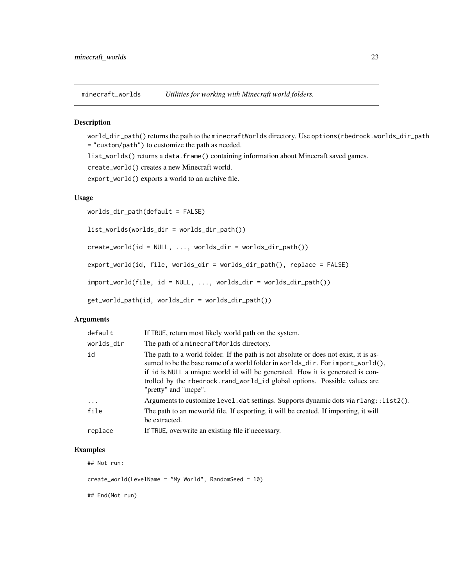<span id="page-22-0"></span>minecraft\_worlds *Utilities for working with Minecraft world folders.*

# Description

world\_dir\_path() returns the path to the minecraftWorlds directory. Use options(rbedrock.worlds\_dir\_path = "custom/path") to customize the path as needed.

list\_worlds() returns a data.frame() containing information about Minecraft saved games.

create\_world() creates a new Minecraft world.

export\_world() exports a world to an archive file.

# Usage

worlds\_dir\_path(default = FALSE)

list\_worlds(worlds\_dir = worlds\_dir\_path())

create\_world(id = NULL, ..., worlds\_dir = worlds\_dir\_path())

export\_world(id, file, worlds\_dir = worlds\_dir\_path(), replace = FALSE)

import\_world(file, id = NULL, ..., worlds\_dir = worlds\_dir\_path())

get\_world\_path(id, worlds\_dir = worlds\_dir\_path())

# Arguments

| default    | If TRUE, return most likely world path on the system.                                                                                                                                                                                                                                                                                                         |
|------------|---------------------------------------------------------------------------------------------------------------------------------------------------------------------------------------------------------------------------------------------------------------------------------------------------------------------------------------------------------------|
| worlds_dir | The path of a minecraft Worlds directory.                                                                                                                                                                                                                                                                                                                     |
| id         | The path to a world folder. If the path is not absolute or does not exist, it is as-<br>sumed to be the base name of a world folder in worlds_dir. For import_world(),<br>if id is NULL a unique world id will be generated. How it is generated is con-<br>trolled by the rbedrock.rand_world_id global options. Possible values are<br>"pretty" and "mcpe". |
| $\cdots$   | Arguments to customize level. dat settings. Supports dynamic dots via rlang::list2().                                                                                                                                                                                                                                                                         |
| file       | The path to an meworld file. If exporting, it will be created. If importing, it will<br>be extracted.                                                                                                                                                                                                                                                         |
| replace    | If TRUE, overwrite an existing file if necessary.                                                                                                                                                                                                                                                                                                             |

#### Examples

## Not run:

create\_world(LevelName = "My World", RandomSeed = 10)

## End(Not run)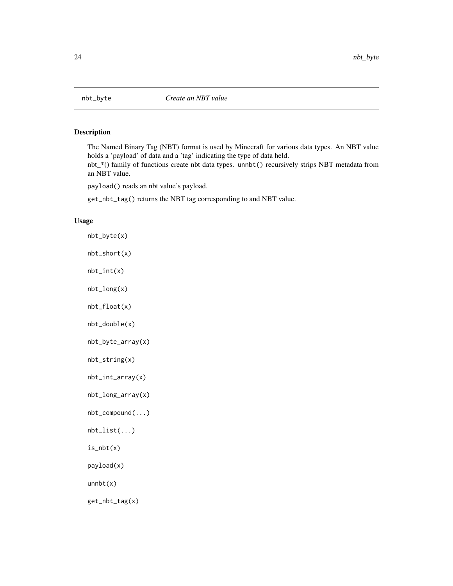<span id="page-23-0"></span>

# Description

The Named Binary Tag (NBT) format is used by Minecraft for various data types. An NBT value holds a 'payload' of data and a 'tag' indicating the type of data held.

nbt\_\*() family of functions create nbt data types. unnbt() recursively strips NBT metadata from an NBT value.

payload() reads an nbt value's payload.

get\_nbt\_tag() returns the NBT tag corresponding to and NBT value.

#### Usage

```
nbt_byte(x)
nbt_short(x)
nbt_int(x)
nbt_long(x)
nbt_float(x)
nbt_double(x)
nbt_byte_array(x)
nbt_string(x)
nbt_int_array(x)
nbt_long_array(x)
nbt_compound(...)
nbt_list(...)
is_nbt(x)
```

```
payload(x)
```
unnbt(x)

get\_nbt\_tag(x)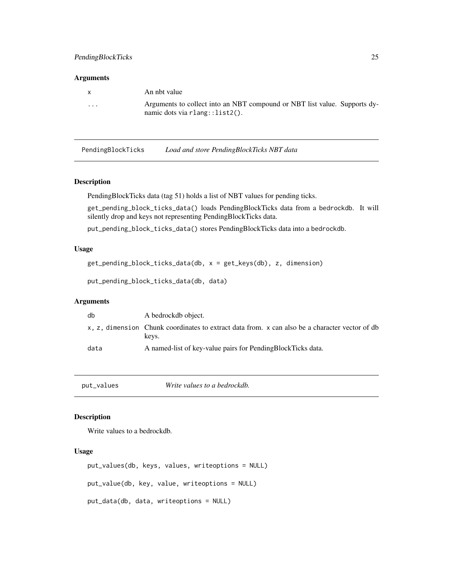#### <span id="page-24-0"></span>Arguments

| X.                      | An nbt value                                                                                                   |
|-------------------------|----------------------------------------------------------------------------------------------------------------|
| $\cdot$ $\cdot$ $\cdot$ | Arguments to collect into an NBT compound or NBT list value. Supports dy-<br>$namic dots via rlang::list2()$ . |

PendingBlockTicks *Load and store PendingBlockTicks NBT data*

#### Description

PendingBlockTicks data (tag 51) holds a list of NBT values for pending ticks.

get\_pending\_block\_ticks\_data() loads PendingBlockTicks data from a bedrockdb. It will silently drop and keys not representing PendingBlockTicks data.

put\_pending\_block\_ticks\_data() stores PendingBlockTicks data into a bedrockdb.

# Usage

```
get_pending_block_ticks_data(db, x = get_keys(db), z, dimension)
```

```
put_pending_block_ticks_data(db, data)
```
# Arguments

| db   | A bedrockdb object.                                                                                     |
|------|---------------------------------------------------------------------------------------------------------|
|      | x, z, dimension Chunk coordinates to extract data from. x can also be a character vector of db<br>keys. |
| data | A named-list of key-value pairs for PendingBlockTicks data.                                             |

put\_values *Write values to a bedrockdb.*

# Description

Write values to a bedrockdb.

# Usage

```
put_values(db, keys, values, writeoptions = NULL)
put_value(db, key, value, writeoptions = NULL)
put_data(db, data, writeoptions = NULL)
```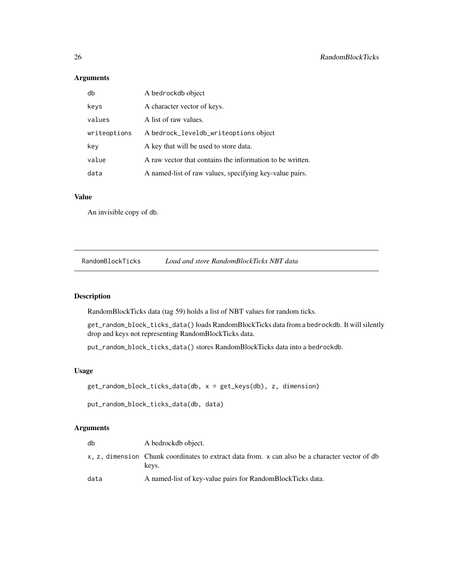# Arguments

| db           | A bedrockdb object                                        |
|--------------|-----------------------------------------------------------|
| keys         | A character vector of keys.                               |
| values       | A list of raw values.                                     |
| writeoptions | A bedrock_leveldb_writeoptions object                     |
| key          | A key that will be used to store data.                    |
| value        | A raw vector that contains the information to be written. |
| data         | A named-list of raw values, specifying key-value pairs.   |

# Value

An invisible copy of db.

RandomBlockTicks *Load and store RandomBlockTicks NBT data*

# Description

RandomBlockTicks data (tag 59) holds a list of NBT values for random ticks.

get\_random\_block\_ticks\_data() loads RandomBlockTicks data from a bedrockdb. It will silently drop and keys not representing RandomBlockTicks data.

put\_random\_block\_ticks\_data() stores RandomBlockTicks data into a bedrockdb.

# Usage

get\_random\_block\_ticks\_data(db, x = get\_keys(db), z, dimension)

put\_random\_block\_ticks\_data(db, data)

# Arguments

| db   | A bedrockdb object.                                                                                     |
|------|---------------------------------------------------------------------------------------------------------|
|      | x, z, dimension Chunk coordinates to extract data from. x can also be a character vector of db<br>keys. |
| data | A named-list of key-value pairs for RandomBlockTicks data.                                              |

<span id="page-25-0"></span>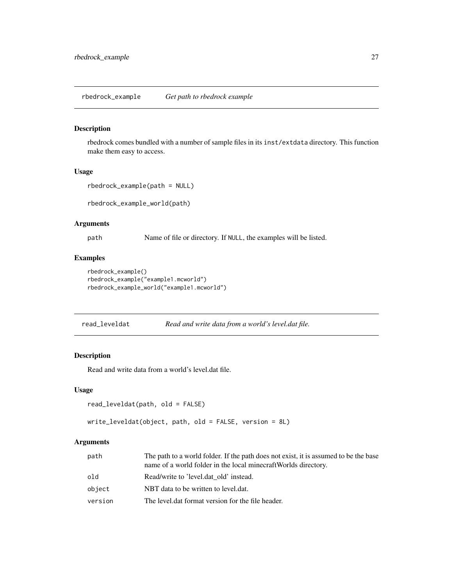<span id="page-26-0"></span>rbedrock\_example *Get path to rbedrock example*

#### Description

rbedrock comes bundled with a number of sample files in its inst/extdata directory. This function make them easy to access.

#### Usage

```
rbedrock_example(path = NULL)
```
rbedrock\_example\_world(path)

# Arguments

path Name of file or directory. If NULL, the examples will be listed.

#### Examples

```
rbedrock_example()
rbedrock_example("example1.mcworld")
rbedrock_example_world("example1.mcworld")
```
read\_leveldat *Read and write data from a world's level.dat file.*

# Description

Read and write data from a world's level.dat file.

# Usage

```
read_leveldat(path, old = FALSE)
```

```
write_leveldat(object, path, old = FALSE, version = 8L)
```
# Arguments

| path    | The path to a world folder. If the path does not exist, it is assumed to be the base<br>name of a world folder in the local minecraft Worlds directory. |
|---------|---------------------------------------------------------------------------------------------------------------------------------------------------------|
| old     | Read/write to 'level.dat old' instead.                                                                                                                  |
| object  | NBT data to be written to level.dat.                                                                                                                    |
| version | The level dat format version for the file header.                                                                                                       |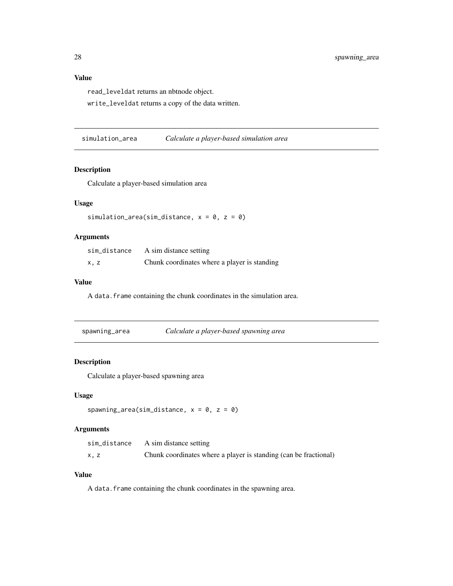# <span id="page-27-0"></span>Value

read\_leveldat returns an nbtnode object.

write\_leveldat returns a copy of the data written.

simulation\_area *Calculate a player-based simulation area*

#### Description

Calculate a player-based simulation area

# Usage

simulation\_area(sim\_distance,  $x = 0$ ,  $z = 0$ )

# Arguments

| sim distance | A sim distance setting                       |
|--------------|----------------------------------------------|
| x, z         | Chunk coordinates where a player is standing |

# Value

A data.frame containing the chunk coordinates in the simulation area.

# Description

Calculate a player-based spawning area

#### Usage

```
spawning_area(sim_distance, x = 0, z = 0)
```
# Arguments

| sim_distance | A sim distance setting                                           |
|--------------|------------------------------------------------------------------|
| x, z         | Chunk coordinates where a player is standing (can be fractional) |

# Value

A data.frame containing the chunk coordinates in the spawning area.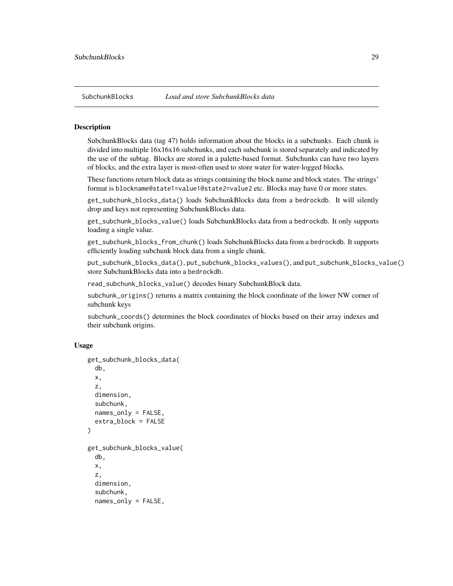#### <span id="page-28-0"></span>**Description**

SubchunkBlocks data (tag 47) holds information about the blocks in a subchunks. Each chunk is divided into multiple 16x16x16 subchunks, and each subchunk is stored separately and indicated by the use of the subtag. Blocks are stored in a palette-based format. Subchunks can have two layers of blocks, and the extra layer is most-often used to store water for water-logged blocks.

These functions return block data as strings containing the block name and block states. The strings' format is blockname@state1=value1@state2=value2 etc. Blocks may have 0 or more states.

get\_subchunk\_blocks\_data() loads SubchunkBlocks data from a bedrockdb. It will silently drop and keys not representing SubchunkBlocks data.

get\_subchunk\_blocks\_value() loads SubchunkBlocks data from a bedrockdb. It only supports loading a single value.

get\_subchunk\_blocks\_from\_chunk() loads SubchunkBlocks data from a bedrockdb. It supports efficiently loading subchunk block data from a single chunk.

put\_subchunk\_blocks\_data(), put\_subchunk\_blocks\_values(), and put\_subchunk\_blocks\_value() store SubchunkBlocks data into a bedrockdb.

read\_subchunk\_blocks\_value() decodes binary SubchunkBlock data.

subchunk\_origins() returns a matrix containing the block coordinate of the lower NW corner of subchunk keys

subchunk\_coords() determines the block coordinates of blocks based on their array indexes and their subchunk origins.

#### Usage

```
get_subchunk_blocks_data(
  db,
  x,
  z,
  dimension,
  subchunk,
  names_only = FALSE,
  extra_block = FALSE
)
get_subchunk_blocks_value(
  db,
  x,
  z,
  dimension,
  subchunk,
  names_only = FALSE,
```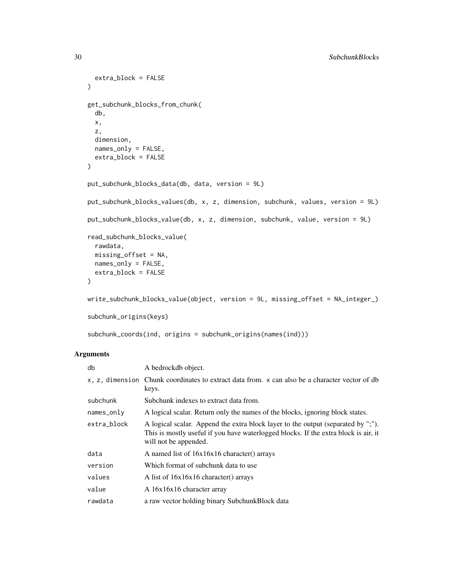```
extra_block = FALSE
\lambdaget_subchunk_blocks_from_chunk(
  db,
  x,
  z,
  dimension,
 names_only = FALSE,
  extra_block = FALSE
)
put_subchunk_blocks_data(db, data, version = 9L)
put_subchunk_blocks_values(db, x, z, dimension, subchunk, values, version = 9L)
put_subchunk_blocks_value(db, x, z, dimension, subchunk, value, version = 9L)
read_subchunk_blocks_value(
  rawdata,
 missing_offset = NA,
 names_only = FALSE,
 extra_block = FALSE
)
write_subchunk_blocks_value(object, version = 9L, missing_offset = NA_integer_)
subchunk_origins(keys)
subchunk_coords(ind, origins = subchunk_origins(names(ind)))
```
# Arguments

| db           | A bedrockdb object.                                                                                                                                                                              |
|--------------|--------------------------------------------------------------------------------------------------------------------------------------------------------------------------------------------------|
|              | x, z, dimension Chunk coordinates to extract data from. x can also be a character vector of db<br>keys.                                                                                          |
| subchunk     | Subchunk indexes to extract data from.                                                                                                                                                           |
| $names_only$ | A logical scalar. Return only the names of the blocks, ignoring block states.                                                                                                                    |
| extra_block  | A logical scalar. Append the extra block layer to the output (separated by ";").<br>This is mostly useful if you have waterlogged blocks. If the extra block is air, it<br>will not be appended. |
| data         | A named list of $16x16x16$ character() arrays                                                                                                                                                    |
| version      | Which format of subchunk data to use                                                                                                                                                             |
| values       | A list of 16x16x16 character() arrays                                                                                                                                                            |
| value        | A 16x16x16 character array                                                                                                                                                                       |
| rawdata      | a raw vector holding binary SubchunkBlock data                                                                                                                                                   |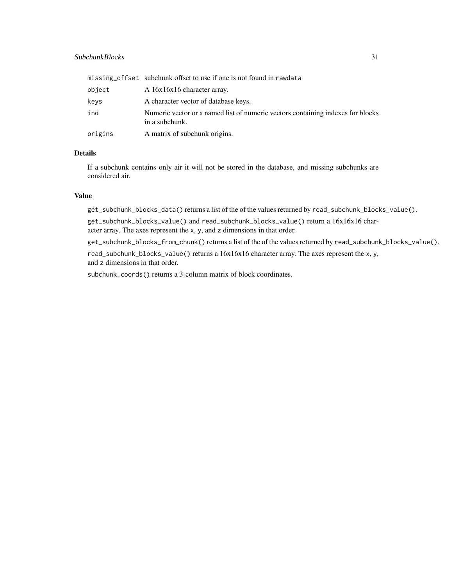# SubchunkBlocks 31

|         | missing_offset subchunk offset to use if one is not found in rawdata                              |
|---------|---------------------------------------------------------------------------------------------------|
| object  | A 16x16x16 character array.                                                                       |
| keys    | A character vector of database keys.                                                              |
| ind     | Numeric vector or a named list of numeric vectors containing indexes for blocks<br>in a subchunk. |
| origins | A matrix of subchunk origins.                                                                     |

# Details

If a subchunk contains only air it will not be stored in the database, and missing subchunks are considered air.

#### Value

get\_subchunk\_blocks\_data() returns a list of the of the values returned by read\_subchunk\_blocks\_value().

get\_subchunk\_blocks\_value() and read\_subchunk\_blocks\_value() return a 16x16x16 character array. The axes represent the x, y, and z dimensions in that order.

get\_subchunk\_blocks\_from\_chunk() returns a list of the of the values returned by read\_subchunk\_blocks\_value(). read\_subchunk\_blocks\_value() returns a 16x16x16 character array. The axes represent the x, y, and z dimensions in that order.

subchunk\_coords() returns a 3-column matrix of block coordinates.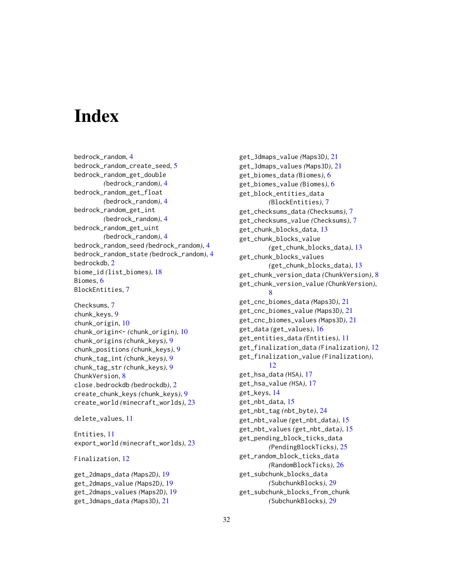# <span id="page-31-0"></span>**Index**

bedrock\_random, [4](#page-3-0) bedrock\_random\_create\_seed, [5](#page-4-0) bedrock\_random\_get\_double *(*bedrock\_random*)*, [4](#page-3-0) bedrock\_random\_get\_float *(*bedrock\_random*)*, [4](#page-3-0) bedrock\_random\_get\_int *(*bedrock\_random*)*, [4](#page-3-0) bedrock\_random\_get\_uint *(*bedrock\_random*)*, [4](#page-3-0) bedrock\_random\_seed *(*bedrock\_random*)*, [4](#page-3-0) bedrock\_random\_state *(*bedrock\_random*)*, [4](#page-3-0) bedrockdb, [2](#page-1-0) biome\_id *(*list\_biomes*)*, [18](#page-17-0) Biomes, [6](#page-5-0) BlockEntities, [7](#page-6-0)

```
Checksums, 7
chunk_keys, 9
chunk_origin, 10
chunk_origin<- (chunk_origin), 10
chunk_origins (chunk_keys), 9
chunk_positions (chunk_keys), 9
chunk_tag_int (chunk_keys), 9
chunk_tag_str (chunk_keys), 9
ChunkVersion, 8
close.bedrockdb (bedrockdb), 2
create_chunk_keys (chunk_keys), 9
create_world (minecraft_worlds), 23
```

```
delete_values, 11
```
Entities, [11](#page-10-0) export\_world *(*minecraft\_worlds*)*, [23](#page-22-0)

Finalization, [12](#page-11-0)

get\_2dmaps\_data *(*Maps2D*)*, [19](#page-18-0) get\_2dmaps\_value *(*Maps2D*)*, [19](#page-18-0) get\_2dmaps\_values *(*Maps2D*)*, [19](#page-18-0) get\_3dmaps\_data *(*Maps3D*)*, [21](#page-20-0)

get\_3dmaps\_value *(*Maps3D*)*, [21](#page-20-0) get\_3dmaps\_values *(*Maps3D*)*, [21](#page-20-0) get\_biomes\_data *(*Biomes*)*, [6](#page-5-0) get\_biomes\_value *(*Biomes*)*, [6](#page-5-0) get\_block\_entities\_data *(*BlockEntities*)*, [7](#page-6-0) get\_checksums\_data *(*Checksums*)*, [7](#page-6-0) get\_checksums\_value *(*Checksums*)*, [7](#page-6-0) get\_chunk\_blocks\_data, [13](#page-12-0) get\_chunk\_blocks\_value *(*get\_chunk\_blocks\_data*)*, [13](#page-12-0) get\_chunk\_blocks\_values *(*get\_chunk\_blocks\_data*)*, [13](#page-12-0) get\_chunk\_version\_data *(*ChunkVersion*)*, [8](#page-7-0) get\_chunk\_version\_value *(*ChunkVersion*)*, [8](#page-7-0) get\_cnc\_biomes\_data *(*Maps3D*)*, [21](#page-20-0) get\_cnc\_biomes\_value *(*Maps3D*)*, [21](#page-20-0) get\_cnc\_biomes\_values *(*Maps3D*)*, [21](#page-20-0) get\_data *(*get\_values*)*, [16](#page-15-0) get\_entities\_data *(*Entities*)*, [11](#page-10-0) get\_finalization\_data *(*Finalization*)*, [12](#page-11-0) get\_finalization\_value *(*Finalization*)*, [12](#page-11-0) get\_hsa\_data *(*HSA*)*, [17](#page-16-0) get\_hsa\_value *(*HSA*)*, [17](#page-16-0) get\_keys, [14](#page-13-0) get\_nbt\_data, [15](#page-14-0) get\_nbt\_tag *(*nbt\_byte*)*, [24](#page-23-0) get\_nbt\_value *(*get\_nbt\_data*)*, [15](#page-14-0) get\_nbt\_values *(*get\_nbt\_data*)*, [15](#page-14-0) get\_pending\_block\_ticks\_data *(*PendingBlockTicks*)*, [25](#page-24-0) get\_random\_block\_ticks\_data *(*RandomBlockTicks*)*, [26](#page-25-0) get\_subchunk\_blocks\_data *(*SubchunkBlocks*)*, [29](#page-28-0) get\_subchunk\_blocks\_from\_chunk *(*SubchunkBlocks*)*, [29](#page-28-0)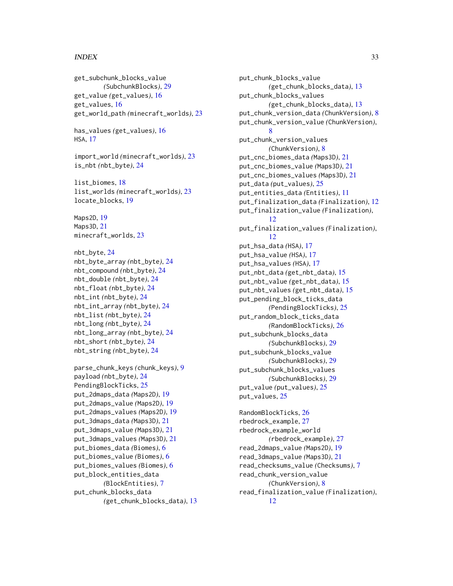#### $I<sub>N</sub>DEX$  33

get\_subchunk\_blocks\_value *(*SubchunkBlocks*)*, [29](#page-28-0) get\_value *(*get\_values*)*, [16](#page-15-0) get\_values, [16](#page-15-0) get\_world\_path *(*minecraft\_worlds*)*, [23](#page-22-0)

has\_values *(*get\_values*)*, [16](#page-15-0) HSA, [17](#page-16-0)

import\_world *(*minecraft\_worlds*)*, [23](#page-22-0) is\_nbt *(*nbt\_byte*)*, [24](#page-23-0)

list\_biomes, [18](#page-17-0) list\_worlds *(*minecraft\_worlds*)*, [23](#page-22-0) locate\_blocks, [19](#page-18-0)

Maps2D, [19](#page-18-0) Maps3D, [21](#page-20-0) minecraft\_worlds, [23](#page-22-0)

nbt\_byte, [24](#page-23-0) nbt\_byte\_array *(*nbt\_byte*)*, [24](#page-23-0) nbt\_compound *(*nbt\_byte*)*, [24](#page-23-0) nbt\_double *(*nbt\_byte*)*, [24](#page-23-0) nbt\_float *(*nbt\_byte*)*, [24](#page-23-0) nbt\_int *(*nbt\_byte*)*, [24](#page-23-0) nbt\_int\_array *(*nbt\_byte*)*, [24](#page-23-0) nbt\_list *(*nbt\_byte*)*, [24](#page-23-0) nbt\_long *(*nbt\_byte*)*, [24](#page-23-0) nbt\_long\_array *(*nbt\_byte*)*, [24](#page-23-0) nbt\_short *(*nbt\_byte*)*, [24](#page-23-0) nbt\_string *(*nbt\_byte*)*, [24](#page-23-0)

```
parse_chunk_keys (chunk_keys), 9
payload (nbt_byte), 24
PendingBlockTicks, 25
put_2dmaps_data (Maps2D), 19
put_2dmaps_value (Maps2D), 19
put_2dmaps_values (Maps2D), 19
put_3dmaps_data (Maps3D), 21
put_3dmaps_value (Maps3D), 21
put_3dmaps_values (Maps3D), 21
put_biomes_data (Biomes), 6
put_biomes_value (Biomes), 6
put_biomes_values (Biomes), 6
put_block_entities_data
        (BlockEntities), 7
put_chunk_blocks_data
        (get_chunk_blocks_data), 13
```
put\_chunk\_blocks\_value *(*get\_chunk\_blocks\_data*)*, [13](#page-12-0) put\_chunk\_blocks\_values *(*get\_chunk\_blocks\_data*)*, [13](#page-12-0) put\_chunk\_version\_data *(*ChunkVersion*)*, [8](#page-7-0) put\_chunk\_version\_value *(*ChunkVersion*)*, [8](#page-7-0) put\_chunk\_version\_values *(*ChunkVersion*)*, [8](#page-7-0) put\_cnc\_biomes\_data *(*Maps3D*)*, [21](#page-20-0) put\_cnc\_biomes\_value *(*Maps3D*)*, [21](#page-20-0) put\_cnc\_biomes\_values *(*Maps3D*)*, [21](#page-20-0) put\_data *(*put\_values*)*, [25](#page-24-0) put\_entities\_data *(*Entities*)*, [11](#page-10-0) put\_finalization\_data *(*Finalization*)*, [12](#page-11-0) put\_finalization\_value *(*Finalization*)*, [12](#page-11-0) put\_finalization\_values *(*Finalization*)*, [12](#page-11-0) put\_hsa\_data *(*HSA*)*, [17](#page-16-0) put\_hsa\_value *(*HSA*)*, [17](#page-16-0) put\_hsa\_values *(*HSA*)*, [17](#page-16-0) put\_nbt\_data *(*get\_nbt\_data*)*, [15](#page-14-0) put\_nbt\_value *(*get\_nbt\_data*)*, [15](#page-14-0) put\_nbt\_values *(*get\_nbt\_data*)*, [15](#page-14-0) put\_pending\_block\_ticks\_data *(*PendingBlockTicks*)*, [25](#page-24-0) put\_random\_block\_ticks\_data *(*RandomBlockTicks*)*, [26](#page-25-0) put\_subchunk\_blocks\_data *(*SubchunkBlocks*)*, [29](#page-28-0) put\_subchunk\_blocks\_value *(*SubchunkBlocks*)*, [29](#page-28-0) put\_subchunk\_blocks\_values *(*SubchunkBlocks*)*, [29](#page-28-0) put\_value *(*put\_values*)*, [25](#page-24-0) put\_values, [25](#page-24-0)

RandomBlockTicks, [26](#page-25-0) rbedrock\_example, [27](#page-26-0) rbedrock\_example\_world *(*rbedrock\_example*)*, [27](#page-26-0) read\_2dmaps\_value *(*Maps2D*)*, [19](#page-18-0) read\_3dmaps\_value *(*Maps3D*)*, [21](#page-20-0) read\_checksums\_value *(*Checksums*)*, [7](#page-6-0) read\_chunk\_version\_value *(*ChunkVersion*)*, [8](#page-7-0) read\_finalization\_value *(*Finalization*)*, [12](#page-11-0)